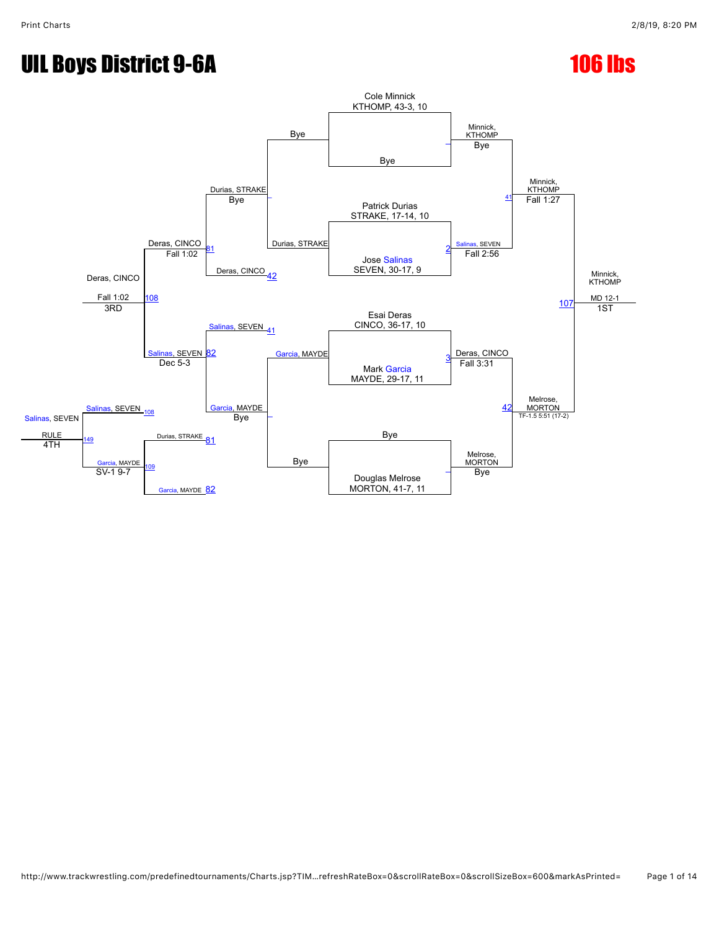# UIL Boys District 9-6A 106 lbs

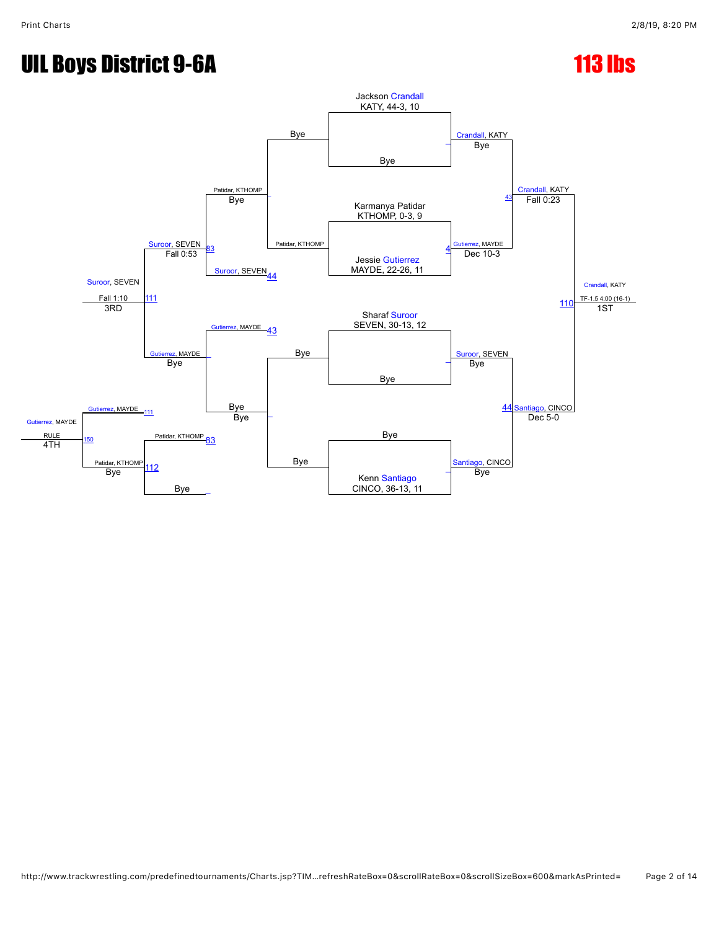## UIL Boys District 9-6A 113 lbs

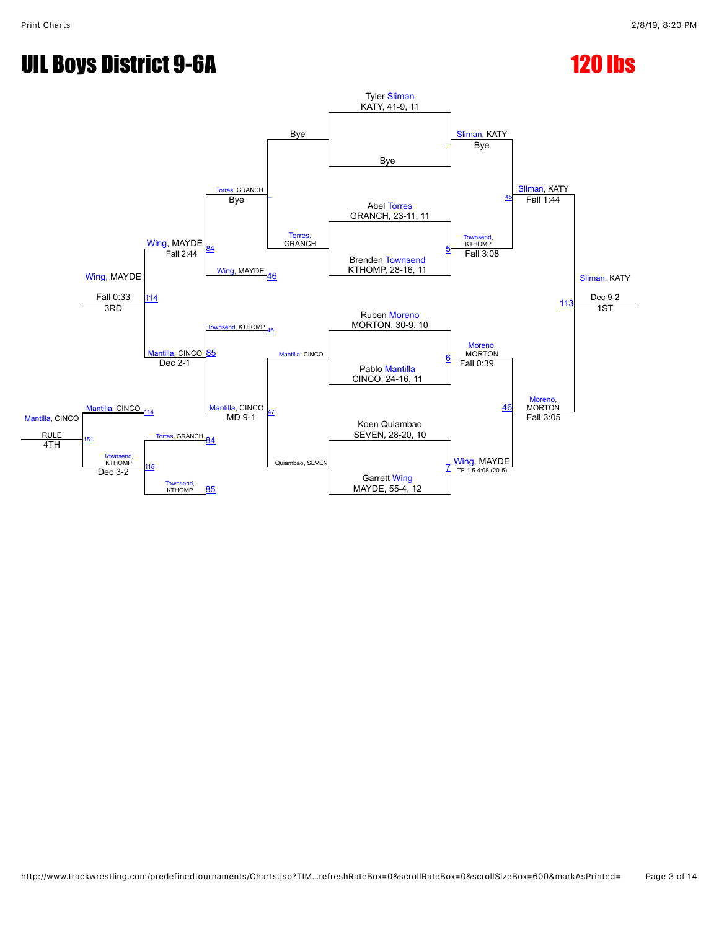# UIL Boys District 9-6A 120 lbs

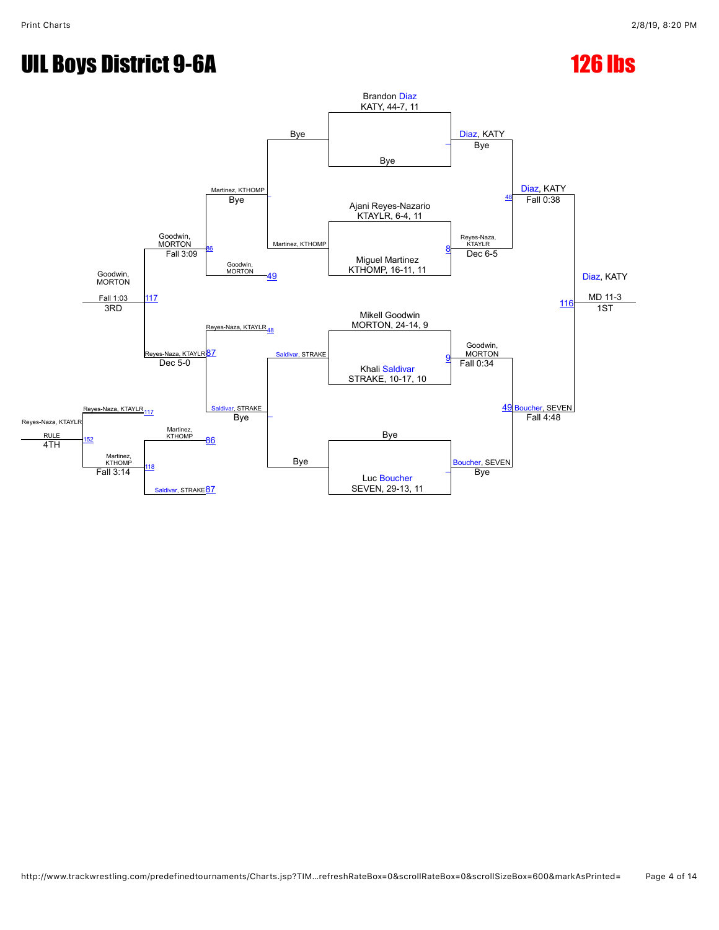## UIL Boys District 9-6A 126 lbs

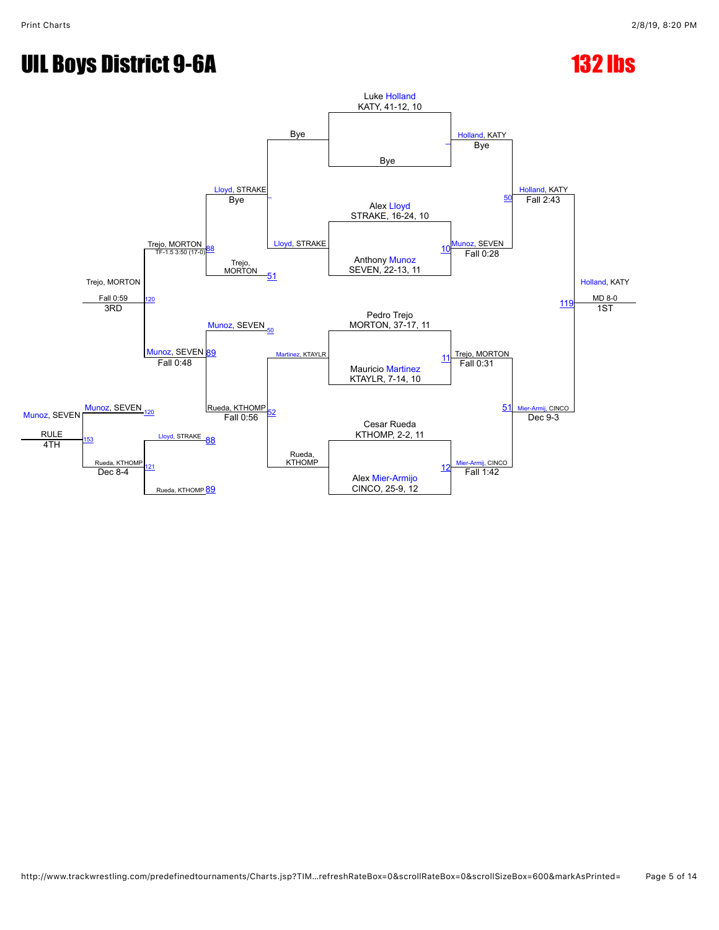## UIL Boys District 9-6A 132 lbs

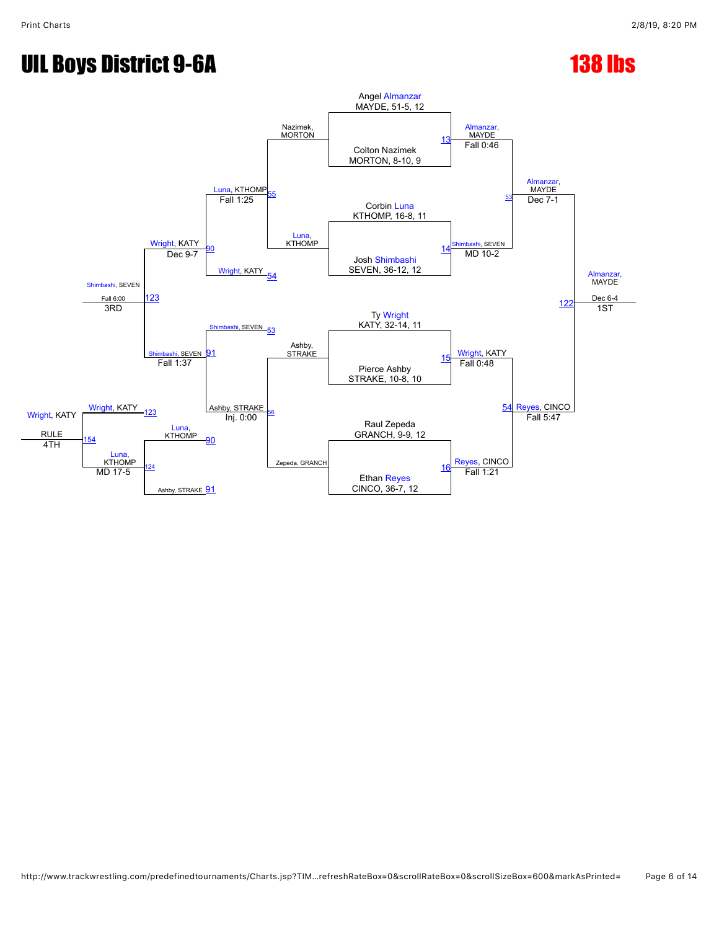# UIL Boys District 9-6A 138 lbs

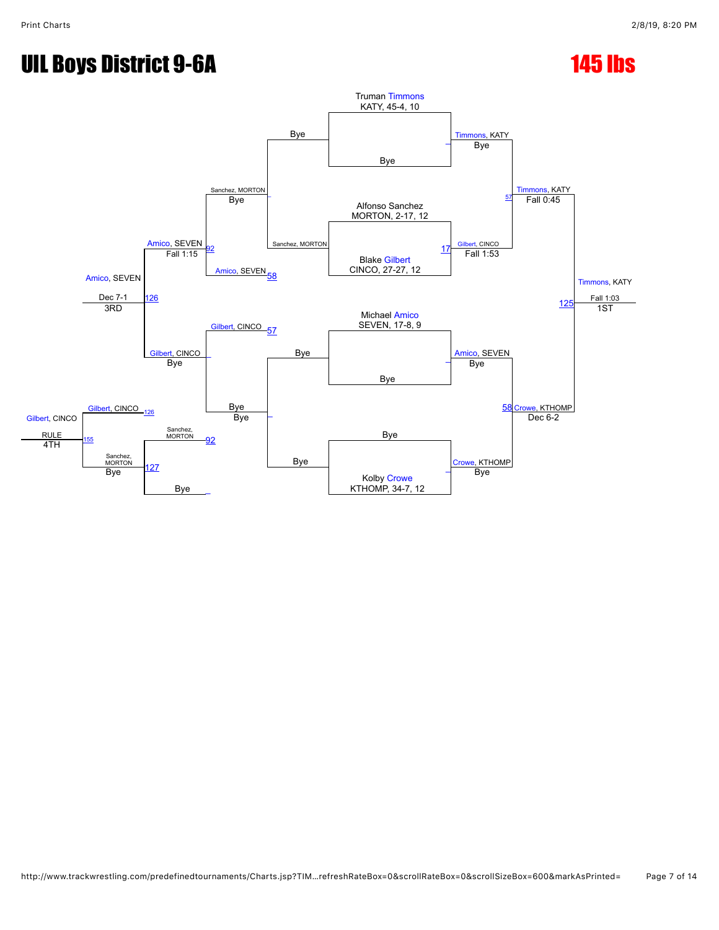## UIL Boys District 9-6A 145 lbs

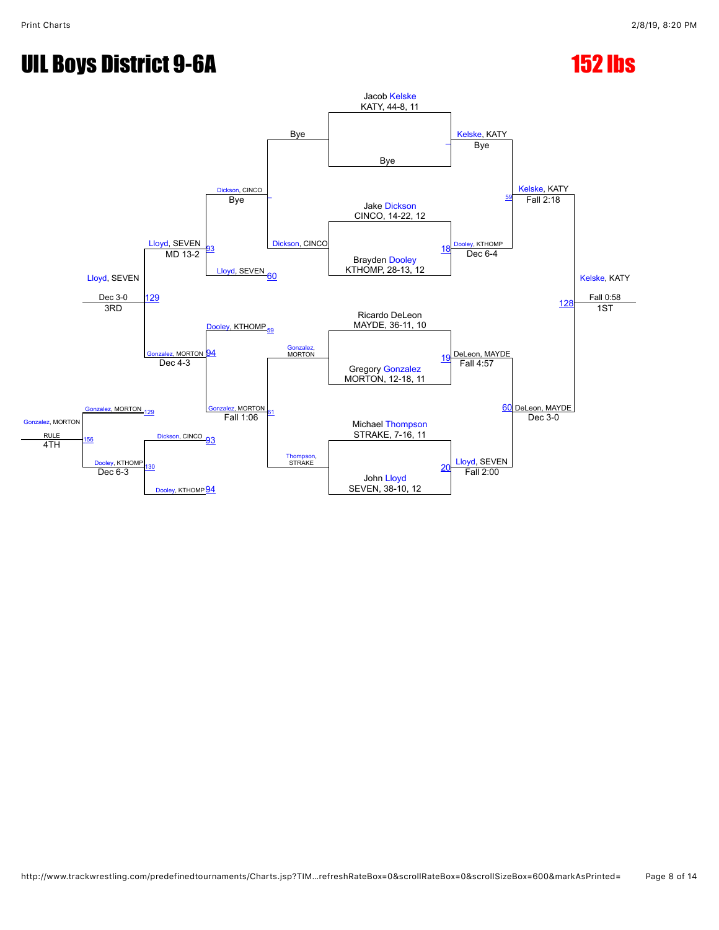## UIL Boys District 9-6A 152 lbs

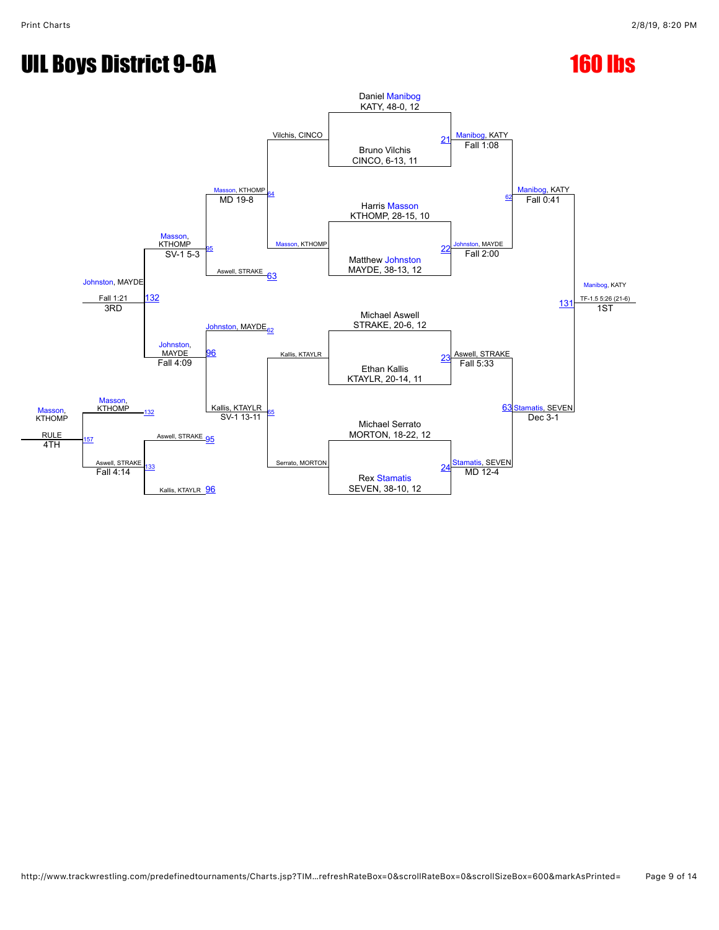# UIL Boys District 9-6A 160 lbs

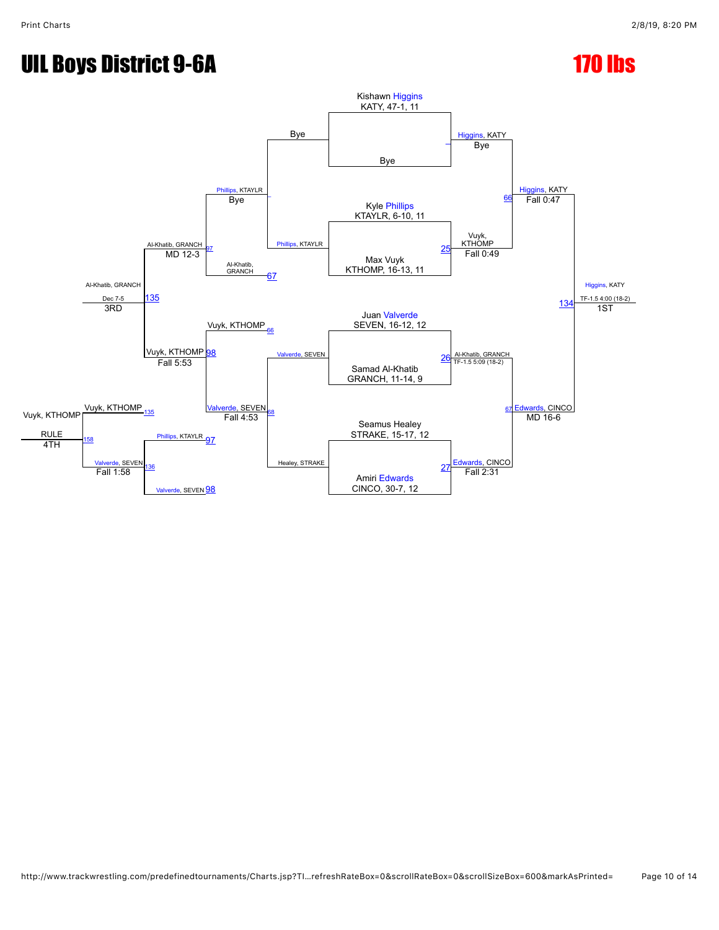# UIL Boys District 9-6A 170 lbs

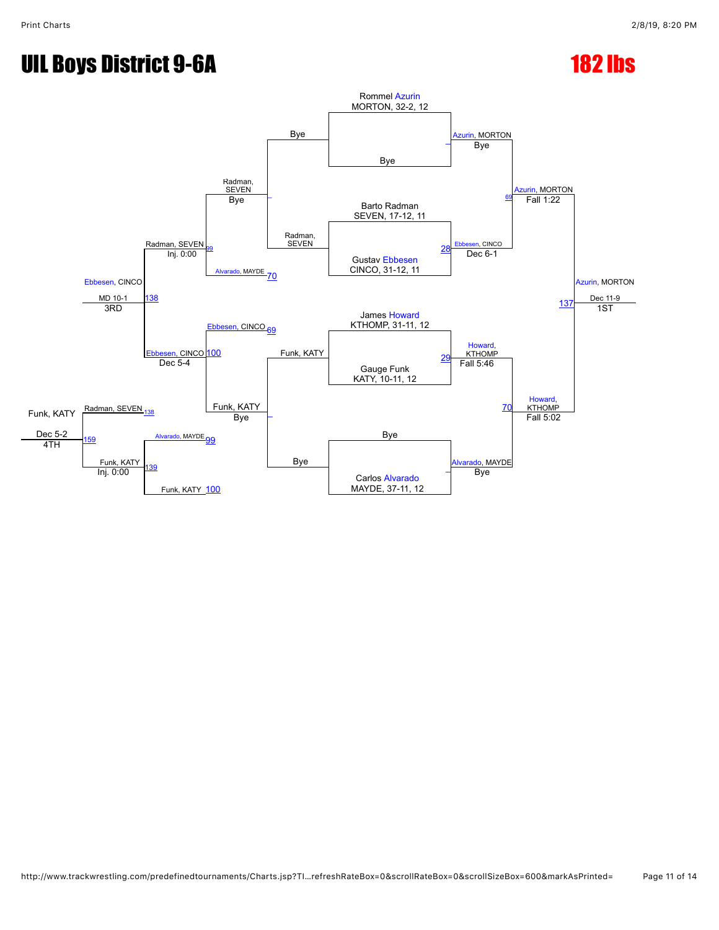# UIL Boys District 9-6A 182 lbs

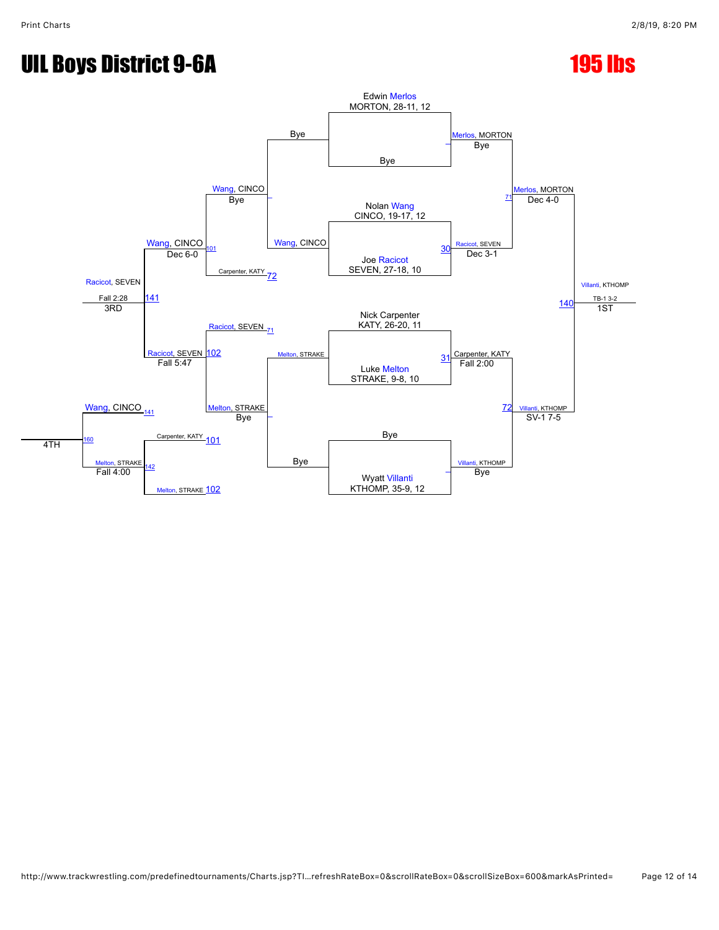## UIL Boys District 9-6A 195 lbs

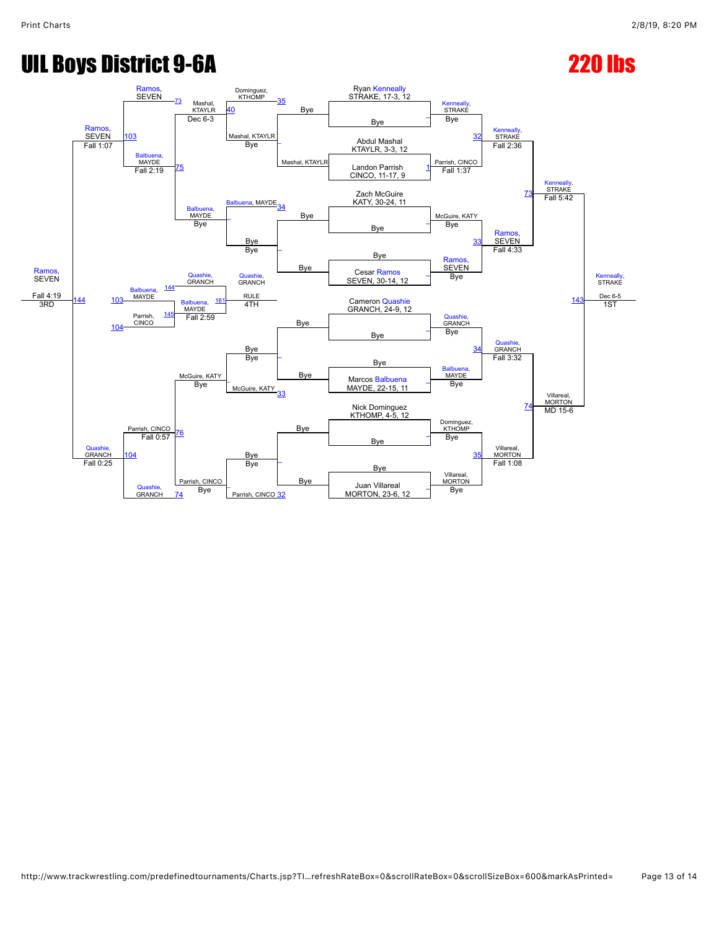## UIL Boys District 9-6A 220 lbs